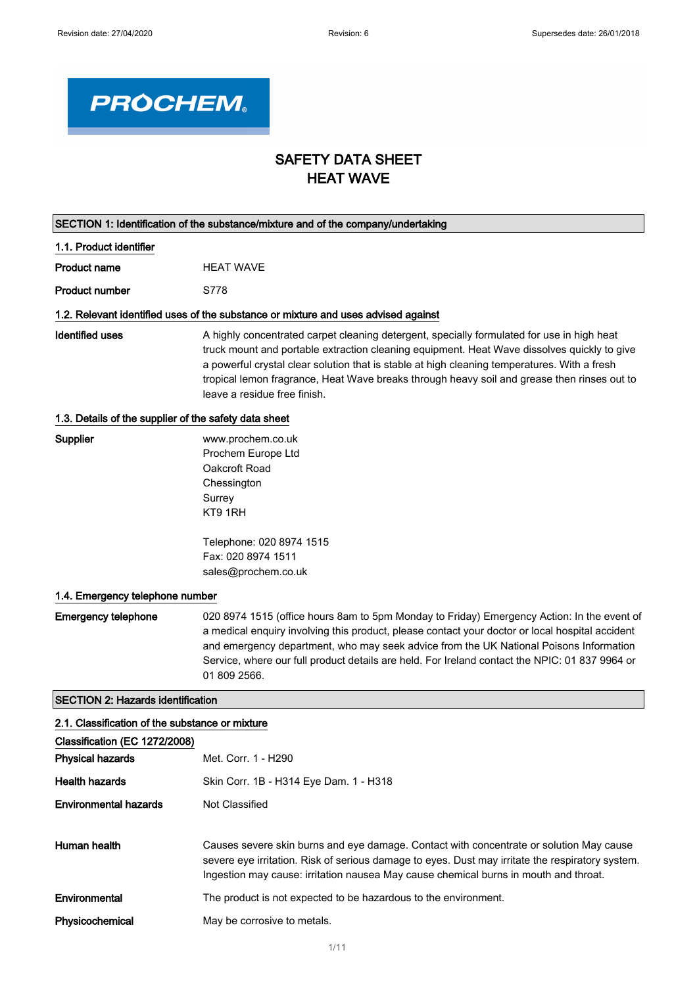

# SAFETY DATA SHEET HEAT WAVE

|                                                       | SECTION 1: Identification of the substance/mixture and of the company/undertaking                                                                                                                                                                                                                                                                                                                                        |  |  |
|-------------------------------------------------------|--------------------------------------------------------------------------------------------------------------------------------------------------------------------------------------------------------------------------------------------------------------------------------------------------------------------------------------------------------------------------------------------------------------------------|--|--|
| 1.1. Product identifier                               |                                                                                                                                                                                                                                                                                                                                                                                                                          |  |  |
| <b>Product name</b>                                   | <b>HEAT WAVE</b>                                                                                                                                                                                                                                                                                                                                                                                                         |  |  |
| <b>Product number</b>                                 | S778                                                                                                                                                                                                                                                                                                                                                                                                                     |  |  |
|                                                       | 1.2. Relevant identified uses of the substance or mixture and uses advised against                                                                                                                                                                                                                                                                                                                                       |  |  |
| <b>Identified uses</b>                                | A highly concentrated carpet cleaning detergent, specially formulated for use in high heat<br>truck mount and portable extraction cleaning equipment. Heat Wave dissolves quickly to give<br>a powerful crystal clear solution that is stable at high cleaning temperatures. With a fresh<br>tropical lemon fragrance, Heat Wave breaks through heavy soil and grease then rinses out to<br>leave a residue free finish. |  |  |
| 1.3. Details of the supplier of the safety data sheet |                                                                                                                                                                                                                                                                                                                                                                                                                          |  |  |
| <b>Supplier</b>                                       | www.prochem.co.uk<br>Prochem Europe Ltd<br>Oakcroft Road<br>Chessington<br>Surrey<br>KT9 1RH                                                                                                                                                                                                                                                                                                                             |  |  |
|                                                       | Telephone: 020 8974 1515<br>Fax: 020 8974 1511<br>sales@prochem.co.uk                                                                                                                                                                                                                                                                                                                                                    |  |  |
| 1.4. Emergency telephone number                       |                                                                                                                                                                                                                                                                                                                                                                                                                          |  |  |
| <b>Emergency telephone</b>                            | 020 8974 1515 (office hours 8am to 5pm Monday to Friday) Emergency Action: In the event of<br>a medical enquiry involving this product, please contact your doctor or local hospital accident<br>and emergency department, who may seek advice from the UK National Poisons Information<br>Service, where our full product details are held. For Ireland contact the NPIC: 01 837 9964 or<br>01 809 2566.                |  |  |
| <b>SECTION 2: Hazards identification</b>              |                                                                                                                                                                                                                                                                                                                                                                                                                          |  |  |
| 2.1. Classification of the substance or mixture       |                                                                                                                                                                                                                                                                                                                                                                                                                          |  |  |
| Classification (EC 1272/2008)                         |                                                                                                                                                                                                                                                                                                                                                                                                                          |  |  |
| <b>Physical hazards</b>                               | Met. Corr. 1 - H290                                                                                                                                                                                                                                                                                                                                                                                                      |  |  |
| <b>Health hazards</b>                                 | Skin Corr. 1B - H314 Eye Dam. 1 - H318                                                                                                                                                                                                                                                                                                                                                                                   |  |  |
| <b>Environmental hazards</b>                          | Not Classified                                                                                                                                                                                                                                                                                                                                                                                                           |  |  |
| Human health                                          | Causes severe skin burns and eye damage. Contact with concentrate or solution May cause<br>severe eye irritation. Risk of serious damage to eyes. Dust may irritate the respiratory system.<br>Ingestion may cause: irritation nausea May cause chemical burns in mouth and throat.                                                                                                                                      |  |  |
| Environmental                                         | The product is not expected to be hazardous to the environment.                                                                                                                                                                                                                                                                                                                                                          |  |  |

Physicochemical May be corrosive to metals.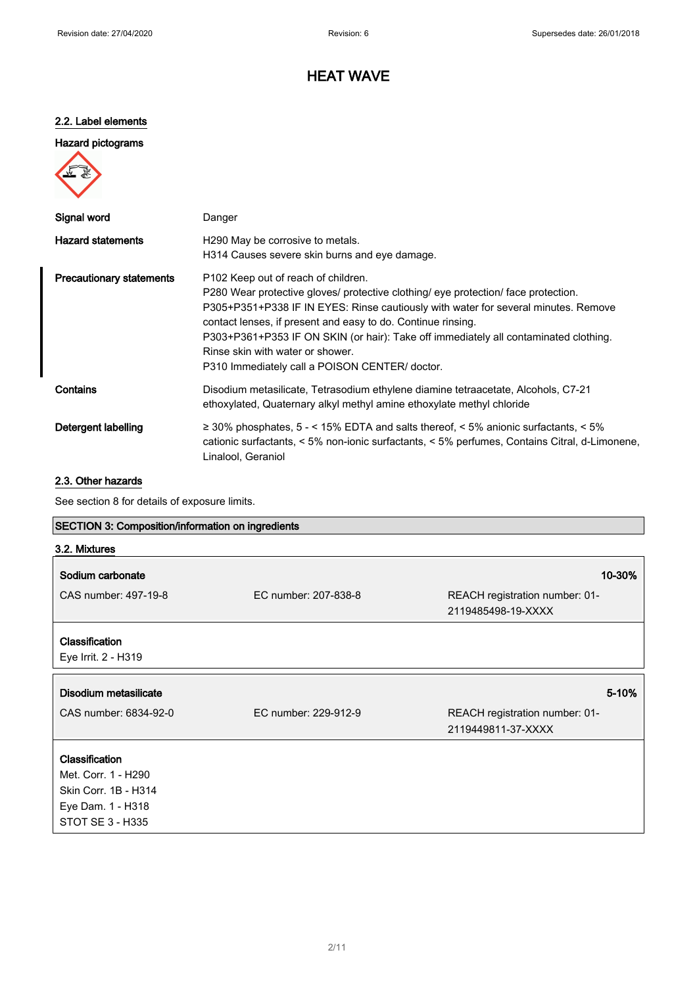# HEAT WAVE

### 2.2. Label elements

## Hazard pictograms



| Signal word                     | Danger                                                                                                                                                                                                                                                                                                                                                                                                                                                                    |
|---------------------------------|---------------------------------------------------------------------------------------------------------------------------------------------------------------------------------------------------------------------------------------------------------------------------------------------------------------------------------------------------------------------------------------------------------------------------------------------------------------------------|
| <b>Hazard statements</b>        | H <sub>290</sub> May be corrosive to metals.<br>H314 Causes severe skin burns and eye damage.                                                                                                                                                                                                                                                                                                                                                                             |
| <b>Precautionary statements</b> | P <sub>102</sub> Keep out of reach of children.<br>P280 Wear protective gloves/ protective clothing/ eye protection/ face protection.<br>P305+P351+P338 IF IN EYES: Rinse cautiously with water for several minutes. Remove<br>contact lenses, if present and easy to do. Continue rinsing.<br>P303+P361+P353 IF ON SKIN (or hair): Take off immediately all contaminated clothing.<br>Rinse skin with water or shower.<br>P310 Immediately call a POISON CENTER/ doctor. |
| Contains                        | Disodium metasilicate, Tetrasodium ethylene diamine tetraacetate, Alcohols, C7-21<br>ethoxylated, Quaternary alkyl methyl amine ethoxylate methyl chloride                                                                                                                                                                                                                                                                                                                |
| Detergent labelling             | $\geq$ 30% phosphates, 5 - < 15% EDTA and salts thereof, < 5% anionic surfactants, < 5%<br>cationic surfactants, < 5% non-ionic surfactants, < 5% perfumes, Contains Citral, d-Limonene,<br>Linalool, Geraniol                                                                                                                                                                                                                                                            |

# 2.3. Other hazards

See section 8 for details of exposure limits.

| <b>SECTION 3: Composition/information on ingredients</b> |                      |                                                      |  |
|----------------------------------------------------------|----------------------|------------------------------------------------------|--|
| 3.2. Mixtures                                            |                      |                                                      |  |
| Sodium carbonate                                         |                      | 10-30%                                               |  |
| CAS number: 497-19-8<br>EC number: 207-838-8             |                      | REACH registration number: 01-<br>2119485498-19-XXXX |  |
| <b>Classification</b><br>Eye Irrit. 2 - H319             |                      |                                                      |  |
| Disodium metasilicate                                    |                      | 5-10%                                                |  |
| CAS number: 6834-92-0                                    | EC number: 229-912-9 | REACH registration number: 01-<br>2119449811-37-XXXX |  |
| Classification                                           |                      |                                                      |  |
| Met. Corr. 1 - H290                                      |                      |                                                      |  |
| Skin Corr. 1B - H314                                     |                      |                                                      |  |
| Eye Dam. 1 - H318                                        |                      |                                                      |  |
| STOT SE 3 - H335                                         |                      |                                                      |  |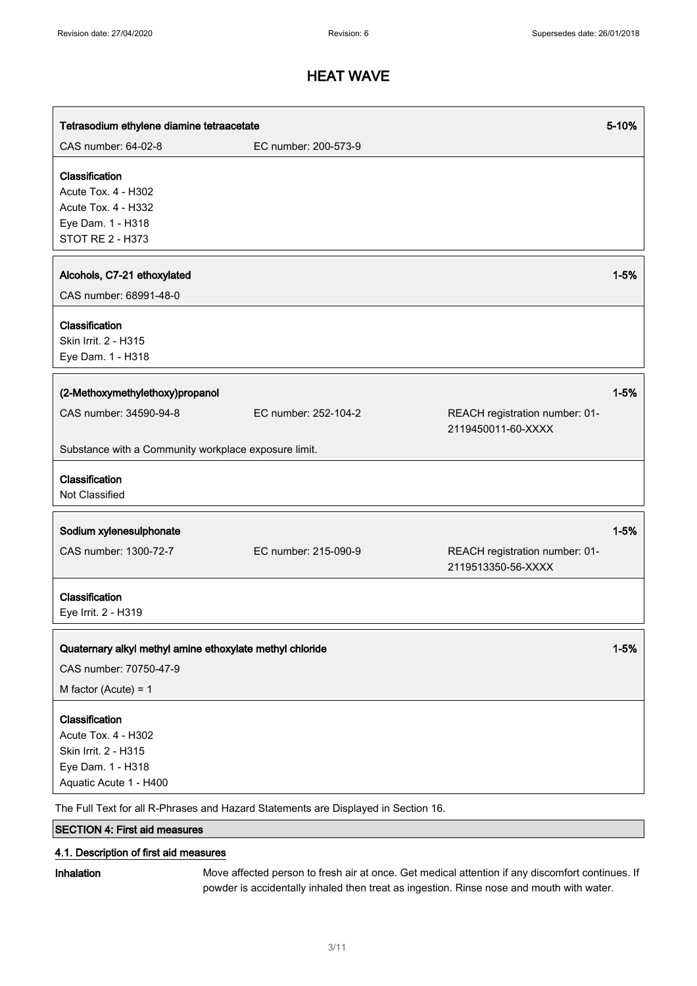| Tetrasodium ethylene diamine tetraacetate                                                                                                                                                          |                      |                                                      | 5-10%    |
|----------------------------------------------------------------------------------------------------------------------------------------------------------------------------------------------------|----------------------|------------------------------------------------------|----------|
| CAS number: 64-02-8                                                                                                                                                                                | EC number: 200-573-9 |                                                      |          |
| Classification<br>Acute Tox. 4 - H302<br>Acute Tox. 4 - H332<br>Eye Dam. 1 - H318<br><b>STOT RE 2 - H373</b>                                                                                       |                      |                                                      |          |
| Alcohols, C7-21 ethoxylated<br>CAS number: 68991-48-0                                                                                                                                              |                      |                                                      | $1 - 5%$ |
| Classification<br>Skin Irrit. 2 - H315<br>Eye Dam. 1 - H318                                                                                                                                        |                      |                                                      |          |
| (2-Methoxymethylethoxy)propanol<br>CAS number: 34590-94-8                                                                                                                                          | EC number: 252-104-2 | REACH registration number: 01-                       | $1 - 5%$ |
| Substance with a Community workplace exposure limit.                                                                                                                                               |                      | 2119450011-60-XXXX                                   |          |
| Classification<br>Not Classified                                                                                                                                                                   |                      |                                                      |          |
| Sodium xylenesulphonate                                                                                                                                                                            |                      |                                                      | $1 - 5%$ |
| CAS number: 1300-72-7                                                                                                                                                                              | EC number: 215-090-9 | REACH registration number: 01-<br>2119513350-56-XXXX |          |
| Classification<br>Eye Irrit. 2 - H319                                                                                                                                                              |                      |                                                      |          |
| Quaternary alkyl methyl amine ethoxylate methyl chloride<br>CAS number: 70750-47-9<br>M factor (Acute) = $1$                                                                                       |                      |                                                      | $1 - 5%$ |
| Classification<br>Acute Tox. 4 - H302<br>Skin Irrit. 2 - H315<br>Eye Dam. 1 - H318<br>Aquatic Acute 1 - H400<br>The Full Text for all R-Phrases and Hazard Statements are Displayed in Section 16. |                      |                                                      |          |

SECTION 4: First aid measures

## 4.1. Description of first aid measures

Inhalation Move affected person to fresh air at once. Get medical attention if any discomfort continues. If powder is accidentally inhaled then treat as ingestion. Rinse nose and mouth with water.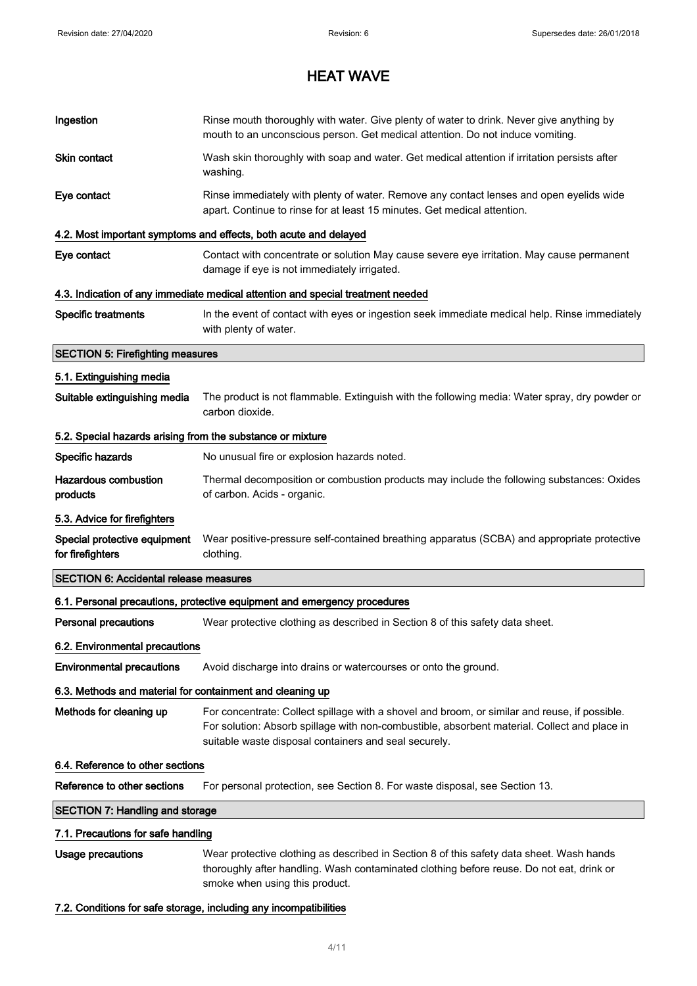| Ingestion                                                  | Rinse mouth thoroughly with water. Give plenty of water to drink. Never give anything by<br>mouth to an unconscious person. Get medical attention. Do not induce vomiting.                                                                             |  |  |
|------------------------------------------------------------|--------------------------------------------------------------------------------------------------------------------------------------------------------------------------------------------------------------------------------------------------------|--|--|
| Skin contact                                               | Wash skin thoroughly with soap and water. Get medical attention if irritation persists after<br>washing.                                                                                                                                               |  |  |
| Eye contact                                                | Rinse immediately with plenty of water. Remove any contact lenses and open eyelids wide<br>apart. Continue to rinse for at least 15 minutes. Get medical attention.                                                                                    |  |  |
|                                                            | 4.2. Most important symptoms and effects, both acute and delayed                                                                                                                                                                                       |  |  |
| Eye contact                                                | Contact with concentrate or solution May cause severe eye irritation. May cause permanent<br>damage if eye is not immediately irrigated.                                                                                                               |  |  |
|                                                            | 4.3. Indication of any immediate medical attention and special treatment needed                                                                                                                                                                        |  |  |
| <b>Specific treatments</b>                                 | In the event of contact with eyes or ingestion seek immediate medical help. Rinse immediately<br>with plenty of water.                                                                                                                                 |  |  |
| <b>SECTION 5: Firefighting measures</b>                    |                                                                                                                                                                                                                                                        |  |  |
| 5.1. Extinguishing media                                   |                                                                                                                                                                                                                                                        |  |  |
| Suitable extinguishing media                               | The product is not flammable. Extinguish with the following media: Water spray, dry powder or<br>carbon dioxide.                                                                                                                                       |  |  |
| 5.2. Special hazards arising from the substance or mixture |                                                                                                                                                                                                                                                        |  |  |
| Specific hazards                                           | No unusual fire or explosion hazards noted.                                                                                                                                                                                                            |  |  |
| <b>Hazardous combustion</b><br>products                    | Thermal decomposition or combustion products may include the following substances: Oxides<br>of carbon. Acids - organic.                                                                                                                               |  |  |
| 5.3. Advice for firefighters                               |                                                                                                                                                                                                                                                        |  |  |
| Special protective equipment<br>for firefighters           | Wear positive-pressure self-contained breathing apparatus (SCBA) and appropriate protective<br>clothing.                                                                                                                                               |  |  |
| <b>SECTION 6: Accidental release measures</b>              |                                                                                                                                                                                                                                                        |  |  |
|                                                            | 6.1. Personal precautions, protective equipment and emergency procedures                                                                                                                                                                               |  |  |
| <b>Personal precautions</b>                                | Wear protective clothing as described in Section 8 of this safety data sheet.                                                                                                                                                                          |  |  |
| 6.2. Environmental precautions                             |                                                                                                                                                                                                                                                        |  |  |
| <b>Environmental precautions</b>                           | Avoid discharge into drains or watercourses or onto the ground.                                                                                                                                                                                        |  |  |
| 6.3. Methods and material for containment and cleaning up  |                                                                                                                                                                                                                                                        |  |  |
| Methods for cleaning up                                    | For concentrate: Collect spillage with a shovel and broom, or similar and reuse, if possible.<br>For solution: Absorb spillage with non-combustible, absorbent material. Collect and place in<br>suitable waste disposal containers and seal securely. |  |  |
| 6.4. Reference to other sections                           |                                                                                                                                                                                                                                                        |  |  |
| Reference to other sections                                | For personal protection, see Section 8. For waste disposal, see Section 13.                                                                                                                                                                            |  |  |
| <b>SECTION 7: Handling and storage</b>                     |                                                                                                                                                                                                                                                        |  |  |
|                                                            | 7.1. Precautions for safe handling                                                                                                                                                                                                                     |  |  |
| <b>Usage precautions</b>                                   | Wear protective clothing as described in Section 8 of this safety data sheet. Wash hands<br>thoroughly after handling. Wash contaminated clothing before reuse. Do not eat, drink or<br>smoke when using this product.                                 |  |  |

# 7.2. Conditions for safe storage, including any incompatibilities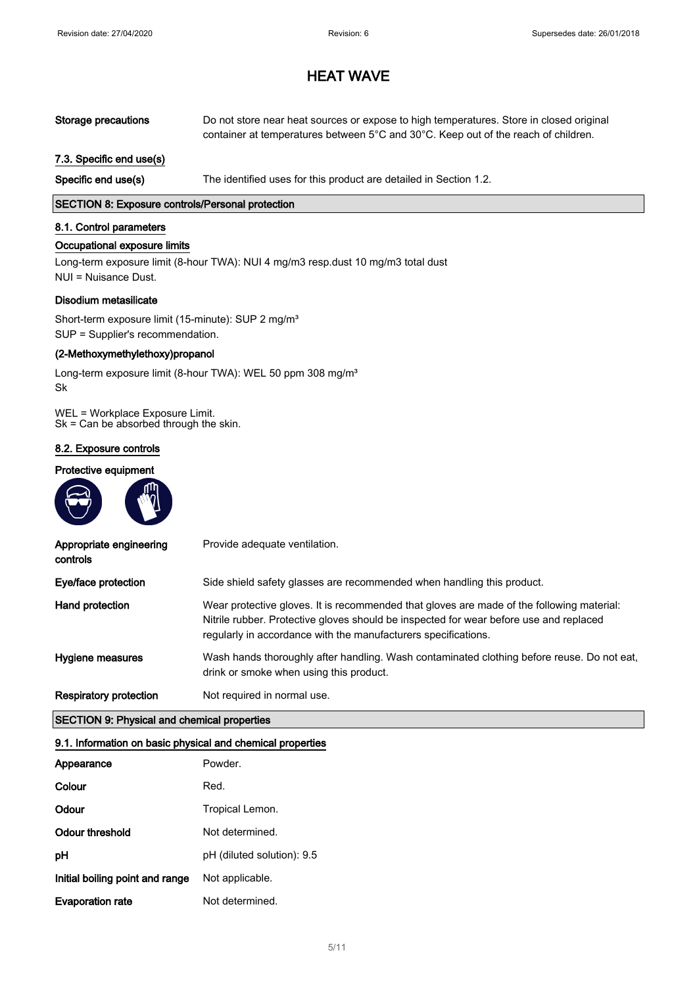| Storage precautions | Do not store near heat sources or expose to high temperatures. Store in closed original                |
|---------------------|--------------------------------------------------------------------------------------------------------|
|                     | container at temperatures between $5^{\circ}$ C and $30^{\circ}$ C. Keep out of the reach of children. |

### 7.3. Specific end use(s)

Specific end use(s) The identified uses for this product are detailed in Section 1.2.

### SECTION 8: Exposure controls/Personal protection

### 8.1. Control parameters

### Occupational exposure limits

Long-term exposure limit (8-hour TWA): NUI 4 mg/m3 resp.dust 10 mg/m3 total dust NUI = Nuisance Dust.

#### Disodium metasilicate

Short-term exposure limit (15-minute): SUP 2 mg/m<sup>3</sup> SUP = Supplier's recommendation.

### (2-Methoxymethylethoxy)propanol

Long-term exposure limit (8-hour TWA): WEL 50 ppm 308 mg/m<sup>3</sup> Sk

WEL = Workplace Exposure Limit. Sk = Can be absorbed through the skin.

### 8.2. Exposure controls

### Protective equipment



| Appropriate engineering<br>controls | Provide adequate ventilation.                                                                                                                                                                                                                         |
|-------------------------------------|-------------------------------------------------------------------------------------------------------------------------------------------------------------------------------------------------------------------------------------------------------|
| Eye/face protection                 | Side shield safety glasses are recommended when handling this product.                                                                                                                                                                                |
| Hand protection                     | Wear protective gloves. It is recommended that gloves are made of the following material:<br>Nitrile rubber. Protective gloves should be inspected for wear before use and replaced<br>regularly in accordance with the manufacturers specifications. |
| Hygiene measures                    | Wash hands thoroughly after handling. Wash contaminated clothing before reuse. Do not eat,<br>drink or smoke when using this product.                                                                                                                 |
| Respiratory protection              | Not required in normal use.                                                                                                                                                                                                                           |

### SECTION 9: Physical and chemical properties

#### 9.1. Information on basic physical and chemical properties

| Appearance                      | Powder.                    |
|---------------------------------|----------------------------|
| Colour                          | Red.                       |
| Odour                           | Tropical Lemon.            |
| Odour threshold                 | Not determined.            |
| рH                              | pH (diluted solution): 9.5 |
| Initial boiling point and range | Not applicable.            |
| <b>Evaporation rate</b>         | Not determined.            |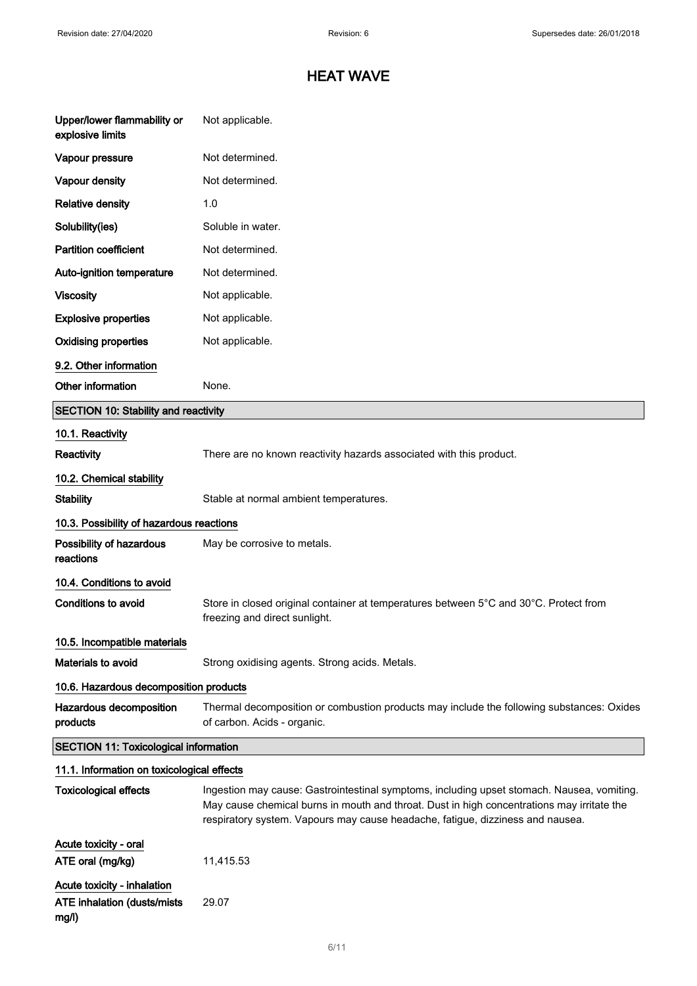| Upper/lower flammability or<br>explosive limits                     | Not applicable.                                                                                                                                                                                                                                                            |  |
|---------------------------------------------------------------------|----------------------------------------------------------------------------------------------------------------------------------------------------------------------------------------------------------------------------------------------------------------------------|--|
| Vapour pressure                                                     | Not determined.                                                                                                                                                                                                                                                            |  |
| Vapour density                                                      | Not determined.                                                                                                                                                                                                                                                            |  |
| <b>Relative density</b>                                             | 1.0                                                                                                                                                                                                                                                                        |  |
| Solubility(ies)                                                     | Soluble in water.                                                                                                                                                                                                                                                          |  |
| <b>Partition coefficient</b>                                        | Not determined.                                                                                                                                                                                                                                                            |  |
| Auto-ignition temperature                                           | Not determined.                                                                                                                                                                                                                                                            |  |
| <b>Viscosity</b>                                                    | Not applicable.                                                                                                                                                                                                                                                            |  |
| <b>Explosive properties</b>                                         | Not applicable.                                                                                                                                                                                                                                                            |  |
| <b>Oxidising properties</b>                                         | Not applicable.                                                                                                                                                                                                                                                            |  |
| 9.2. Other information                                              |                                                                                                                                                                                                                                                                            |  |
| Other information                                                   | None.                                                                                                                                                                                                                                                                      |  |
| <b>SECTION 10: Stability and reactivity</b>                         |                                                                                                                                                                                                                                                                            |  |
| 10.1. Reactivity                                                    |                                                                                                                                                                                                                                                                            |  |
| Reactivity                                                          | There are no known reactivity hazards associated with this product.                                                                                                                                                                                                        |  |
| 10.2. Chemical stability                                            |                                                                                                                                                                                                                                                                            |  |
| <b>Stability</b>                                                    | Stable at normal ambient temperatures.                                                                                                                                                                                                                                     |  |
| 10.3. Possibility of hazardous reactions                            |                                                                                                                                                                                                                                                                            |  |
| Possibility of hazardous<br>reactions                               | May be corrosive to metals.                                                                                                                                                                                                                                                |  |
| 10.4. Conditions to avoid                                           |                                                                                                                                                                                                                                                                            |  |
| <b>Conditions to avoid</b>                                          | Store in closed original container at temperatures between 5°C and 30°C. Protect from<br>freezing and direct sunlight.                                                                                                                                                     |  |
| 10.5. Incompatible materials                                        |                                                                                                                                                                                                                                                                            |  |
| Materials to avoid                                                  | Strong oxidising agents. Strong acids. Metals.                                                                                                                                                                                                                             |  |
| 10.6. Hazardous decomposition products                              |                                                                                                                                                                                                                                                                            |  |
| Hazardous decomposition<br>products                                 | Thermal decomposition or combustion products may include the following substances: Oxides<br>of carbon. Acids - organic.                                                                                                                                                   |  |
| <b>SECTION 11: Toxicological information</b>                        |                                                                                                                                                                                                                                                                            |  |
| 11.1. Information on toxicological effects                          |                                                                                                                                                                                                                                                                            |  |
| <b>Toxicological effects</b>                                        | Ingestion may cause: Gastrointestinal symptoms, including upset stomach. Nausea, vomiting.<br>May cause chemical burns in mouth and throat. Dust in high concentrations may irritate the<br>respiratory system. Vapours may cause headache, fatigue, dizziness and nausea. |  |
| Acute toxicity - oral                                               |                                                                                                                                                                                                                                                                            |  |
| ATE oral (mg/kg)                                                    | 11,415.53                                                                                                                                                                                                                                                                  |  |
| Acute toxicity - inhalation<br>ATE inhalation (dusts/mists<br>mg/l) | 29.07                                                                                                                                                                                                                                                                      |  |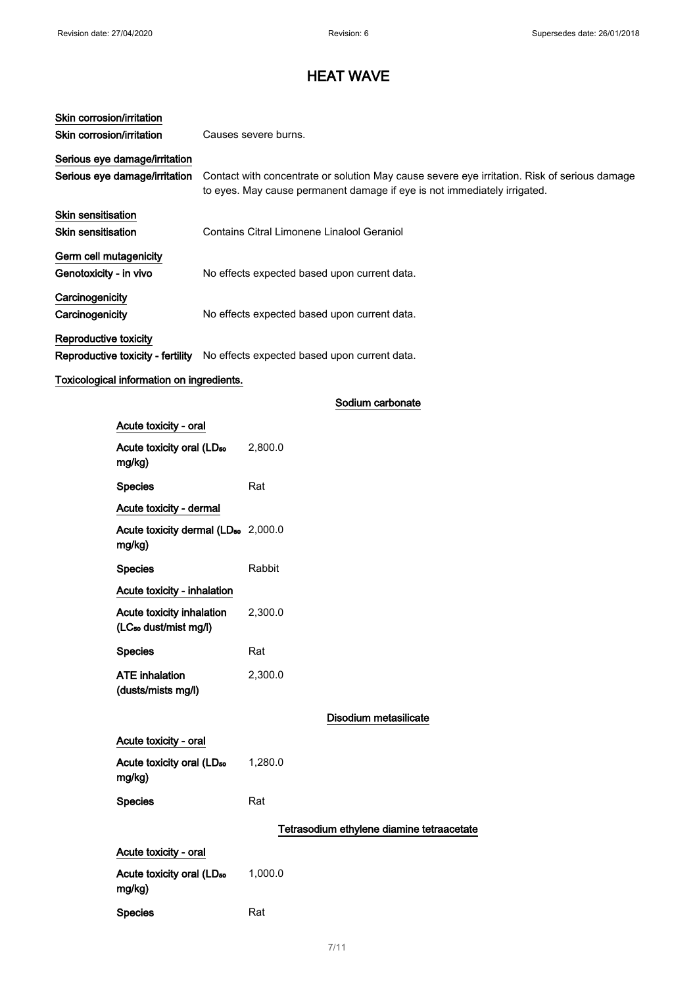| Skin corrosion/irritation         |                                                                                                                                                                          |  |  |
|-----------------------------------|--------------------------------------------------------------------------------------------------------------------------------------------------------------------------|--|--|
| Skin corrosion/irritation         | Causes severe burns.                                                                                                                                                     |  |  |
| Serious eye damage/irritation     |                                                                                                                                                                          |  |  |
| Serious eye damage/irritation     | Contact with concentrate or solution May cause severe eye irritation. Risk of serious damage<br>to eyes. May cause permanent damage if eye is not immediately irrigated. |  |  |
| <b>Skin sensitisation</b>         |                                                                                                                                                                          |  |  |
| Skin sensitisation                | Contains Citral Limonene Linalool Geraniol                                                                                                                               |  |  |
| Germ cell mutagenicity            |                                                                                                                                                                          |  |  |
| Genotoxicity - in vivo            | No effects expected based upon current data.                                                                                                                             |  |  |
| Carcinogenicity                   |                                                                                                                                                                          |  |  |
| Carcinogenicity                   | No effects expected based upon current data.                                                                                                                             |  |  |
| Reproductive toxicity             |                                                                                                                                                                          |  |  |
| Reproductive toxicity - fertility | No effects expected based upon current data.                                                                                                                             |  |  |

# Toxicological information on ingredients.

| Acute toxicity - oral                                          |                                           |
|----------------------------------------------------------------|-------------------------------------------|
| Acute toxicity oral (LD <sub>50</sub><br>mg/kg)                | 2,800.0                                   |
| <b>Species</b>                                                 | Rat                                       |
| Acute toxicity - dermal                                        |                                           |
| Acute toxicity dermal (LD <sub>50</sub> 2,000.0<br>mg/kg)      |                                           |
| <b>Species</b>                                                 | Rabbit                                    |
| Acute toxicity - inhalation                                    |                                           |
| Acute toxicity inhalation<br>(LC <sub>50</sub> dust/mist mg/l) | 2,300.0                                   |
| <b>Species</b>                                                 | Rat                                       |
| <b>ATE inhalation</b><br>(dusts/mists mg/l)                    | 2,300.0                                   |
|                                                                | Disodium metasilicate                     |
| Acute toxicity - oral                                          |                                           |
| Acute toxicity oral (LD <sub>50</sub><br>mg/kg)                | 1,280.0                                   |
| <b>Species</b>                                                 | Rat                                       |
|                                                                | Tetrasodium ethylene diamine tetraacetate |
| Acute toxicity - oral                                          |                                           |
| Acute toxicity oral (LD <sub>50</sub><br>mg/kg)                | 1,000.0                                   |
| <b>Species</b>                                                 | Rat                                       |

Sodium carbonate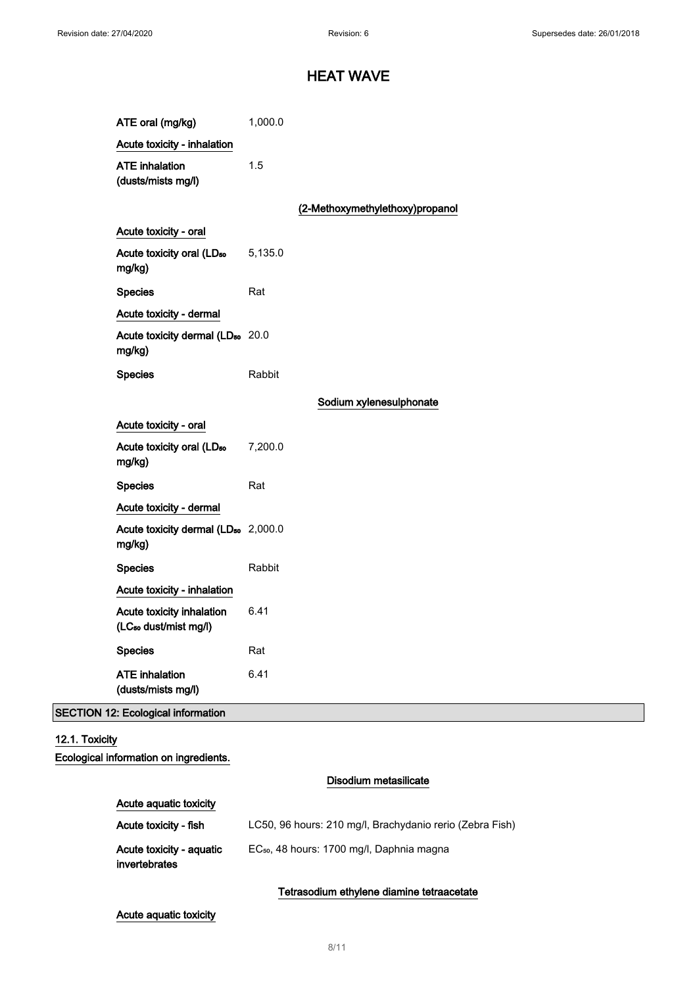| ATE oral (mg/kg)                                               | 1,000.0 |                                 |
|----------------------------------------------------------------|---------|---------------------------------|
| Acute toxicity - inhalation                                    |         |                                 |
| <b>ATE</b> inhalation<br>(dusts/mists mg/l)                    | 1.5     |                                 |
|                                                                |         | (2-Methoxymethylethoxy)propanol |
| Acute toxicity - oral                                          |         |                                 |
| Acute toxicity oral (LD <sub>50</sub><br>mg/kg)                | 5,135.0 |                                 |
| <b>Species</b>                                                 | Rat     |                                 |
| Acute toxicity - dermal                                        |         |                                 |
| Acute toxicity dermal (LD <sub>50</sub> 20.0<br>mg/kg)         |         |                                 |
| <b>Species</b>                                                 | Rabbit  |                                 |
|                                                                |         | Sodium xylenesulphonate         |
| Acute toxicity - oral                                          |         |                                 |
| Acute toxicity oral (LD <sub>50</sub><br>mg/kg)                | 7,200.0 |                                 |
| <b>Species</b>                                                 | Rat     |                                 |
| Acute toxicity - dermal                                        |         |                                 |
| Acute toxicity dermal (LD <sub>50</sub> 2,000.0<br>mg/kg)      |         |                                 |
| <b>Species</b>                                                 | Rabbit  |                                 |
| Acute toxicity - inhalation                                    |         |                                 |
| Acute toxicity inhalation<br>(LC <sub>50</sub> dust/mist mg/l) | 6.41    |                                 |
| <b>Species</b>                                                 | Rat     |                                 |
| <b>ATE</b> inhalation<br>(dusts/mists mg/l)                    | 6.41    |                                 |
| <b>SECTION 12: Ecological information</b>                      |         |                                 |

# 12.1. Toxicity

Ecological information on ingredients.

## Disodium metasilicate

| Acute toxicity - fish                            | LC50, 96 hours: 210 mg/l, Brachydanio rerio (Zebra Fish) |
|--------------------------------------------------|----------------------------------------------------------|
| Acute toxicity - aguatic<br><i>invertebrates</i> | EC <sub>50</sub> , 48 hours: 1700 mg/l, Daphnia magna    |

# Tetrasodium ethylene diamine tetraacetate

## Acute aquatic toxicity

Acute aquatic toxicity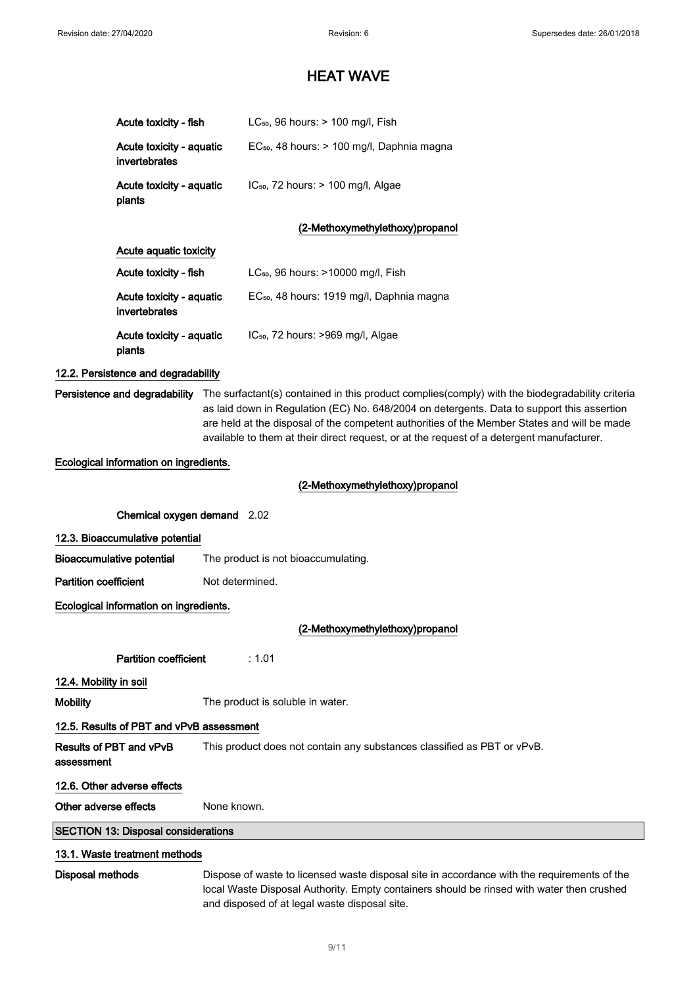|                              | Acute toxicity - fish                      | LC <sub>50</sub> , 96 hours: $> 100$ mg/l, Fish                                                                                                                                                                                                                                                                                                                                                                         |
|------------------------------|--------------------------------------------|-------------------------------------------------------------------------------------------------------------------------------------------------------------------------------------------------------------------------------------------------------------------------------------------------------------------------------------------------------------------------------------------------------------------------|
|                              | Acute toxicity - aquatic<br>invertebrates  | EC <sub>50</sub> , 48 hours: > 100 mg/l, Daphnia magna                                                                                                                                                                                                                                                                                                                                                                  |
|                              | Acute toxicity - aquatic<br>plants         | IC <sub>50</sub> , 72 hours: > 100 mg/l, Algae                                                                                                                                                                                                                                                                                                                                                                          |
|                              |                                            | (2-Methoxymethylethoxy)propanol                                                                                                                                                                                                                                                                                                                                                                                         |
|                              | Acute aquatic toxicity                     |                                                                                                                                                                                                                                                                                                                                                                                                                         |
|                              | Acute toxicity - fish                      | LC <sub>50</sub> , 96 hours: >10000 mg/l, Fish                                                                                                                                                                                                                                                                                                                                                                          |
|                              | Acute toxicity - aquatic<br>invertebrates  | EC <sub>50</sub> , 48 hours: 1919 mg/l, Daphnia magna                                                                                                                                                                                                                                                                                                                                                                   |
|                              | Acute toxicity - aquatic<br>plants         | IC <sub>50</sub> , 72 hours: >969 mg/l, Algae                                                                                                                                                                                                                                                                                                                                                                           |
|                              | 12.2. Persistence and degradability        |                                                                                                                                                                                                                                                                                                                                                                                                                         |
|                              |                                            | Persistence and degradability The surfactant(s) contained in this product complies(comply) with the biodegradability criteria<br>as laid down in Regulation (EC) No. 648/2004 on detergents. Data to support this assertion<br>are held at the disposal of the competent authorities of the Member States and will be made<br>available to them at their direct request, or at the request of a detergent manufacturer. |
|                              | Ecological information on ingredients.     |                                                                                                                                                                                                                                                                                                                                                                                                                         |
|                              |                                            | (2-Methoxymethylethoxy)propanol                                                                                                                                                                                                                                                                                                                                                                                         |
|                              | Chemical oxygen demand 2.02                |                                                                                                                                                                                                                                                                                                                                                                                                                         |
|                              | 12.3. Bioaccumulative potential            |                                                                                                                                                                                                                                                                                                                                                                                                                         |
|                              | <b>Bioaccumulative potential</b>           | The product is not bioaccumulating.                                                                                                                                                                                                                                                                                                                                                                                     |
| <b>Partition coefficient</b> |                                            | Not determined.                                                                                                                                                                                                                                                                                                                                                                                                         |
|                              | Ecological information on ingredients.     |                                                                                                                                                                                                                                                                                                                                                                                                                         |
|                              |                                            | (2-Methoxymethylethoxy)propanol                                                                                                                                                                                                                                                                                                                                                                                         |
|                              | <b>Partition coefficient</b>               | : 1.01                                                                                                                                                                                                                                                                                                                                                                                                                  |
| 12.4. Mobility in soil       |                                            |                                                                                                                                                                                                                                                                                                                                                                                                                         |
| <b>Mobility</b>              |                                            | The product is soluble in water.                                                                                                                                                                                                                                                                                                                                                                                        |
|                              | 12.5. Results of PBT and vPvB assessment   |                                                                                                                                                                                                                                                                                                                                                                                                                         |
|                              | Results of PBT and vPvB                    | This product does not contain any substances classified as PBT or vPvB.                                                                                                                                                                                                                                                                                                                                                 |
| assessment                   |                                            |                                                                                                                                                                                                                                                                                                                                                                                                                         |
|                              | 12.6. Other adverse effects                |                                                                                                                                                                                                                                                                                                                                                                                                                         |
| Other adverse effects        |                                            | None known.                                                                                                                                                                                                                                                                                                                                                                                                             |
|                              | <b>SECTION 13: Disposal considerations</b> |                                                                                                                                                                                                                                                                                                                                                                                                                         |
|                              | 13.1. Waste treatment methods              |                                                                                                                                                                                                                                                                                                                                                                                                                         |
| Disposal methods             |                                            | Dispose of waste to licensed waste disposal site in accordance with the requirements of the<br>local Waste Disposal Authority. Empty containers should be rinsed with water then crushed                                                                                                                                                                                                                                |

and disposed of at legal waste disposal site.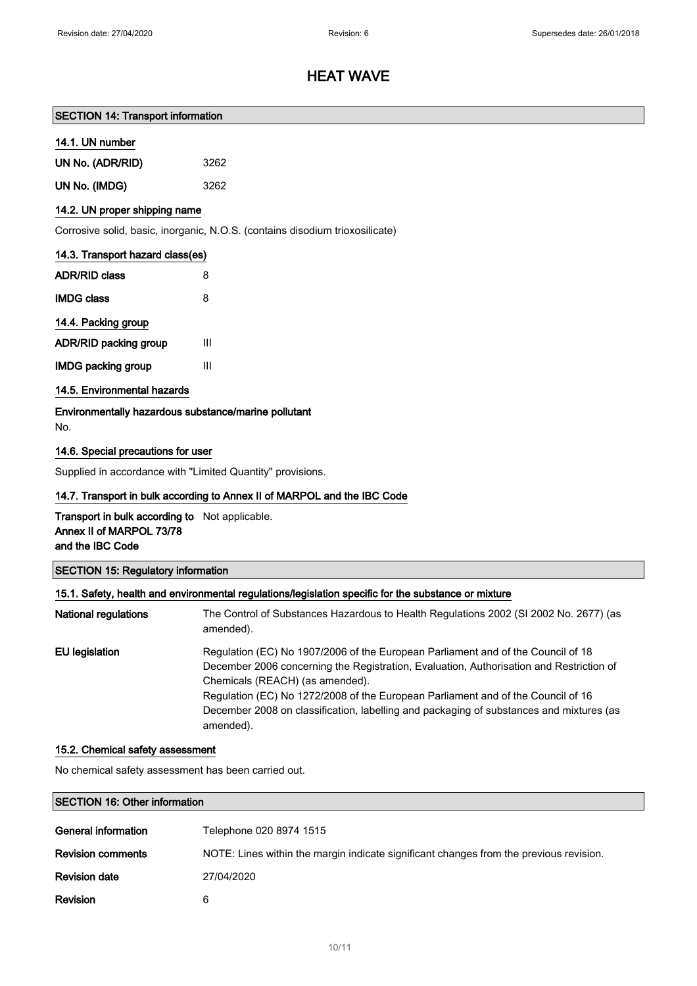### SECTION 14: Transport information

### 14.1. UN number

| UN No. (ADR/RID) | 3262 |
|------------------|------|
| UN No. (IMDG)    | 3262 |

## 14.2. UN proper shipping name

Corrosive solid, basic, inorganic, N.O.S. (contains disodium trioxosilicate)

| 14.3. Transport hazard class(es)  |   |
|-----------------------------------|---|
| <b>ADR/RID class</b>              | 8 |
| IMDG class                        | 8 |
| 14.4. Packing group               |   |
| <b>ADR/RID packing group</b><br>Ш |   |
| <b>IMDG packing group</b><br>Ш    |   |
|                                   |   |

# 14.5. Environmental hazards

Environmentally hazardous substance/marine pollutant No.

### 14.6. Special precautions for user

Supplied in accordance with "Limited Quantity" provisions.

#### 14.7. Transport in bulk according to Annex II of MARPOL and the IBC Code

Transport in bulk according to Not applicable. Annex II of MARPOL 73/78 and the IBC Code

|  |  |  | <b>SECTION 15: Regulatory information</b> |
|--|--|--|-------------------------------------------|
|--|--|--|-------------------------------------------|

### 15.1. Safety, health and environmental regulations/legislation specific for the substance or mixture

| <b>National regulations</b> | The Control of Substances Hazardous to Health Regulations 2002 (SI 2002 No. 2677) (as<br>amended).                                                                                                                                                                                                                                                                                                         |
|-----------------------------|------------------------------------------------------------------------------------------------------------------------------------------------------------------------------------------------------------------------------------------------------------------------------------------------------------------------------------------------------------------------------------------------------------|
| EU legislation              | Regulation (EC) No 1907/2006 of the European Parliament and of the Council of 18<br>December 2006 concerning the Registration, Evaluation, Authorisation and Restriction of<br>Chemicals (REACH) (as amended).<br>Regulation (EC) No 1272/2008 of the European Parliament and of the Council of 16<br>December 2008 on classification, labelling and packaging of substances and mixtures (as<br>amended). |

### 15.2. Chemical safety assessment

No chemical safety assessment has been carried out.

# SECTION 16: Other information

| General information      | Telephone 020 8974 1515                                                                |
|--------------------------|----------------------------------------------------------------------------------------|
| <b>Revision comments</b> | NOTE: Lines within the margin indicate significant changes from the previous revision. |
| <b>Revision date</b>     | 27/04/2020                                                                             |
| <b>Revision</b>          | 6                                                                                      |